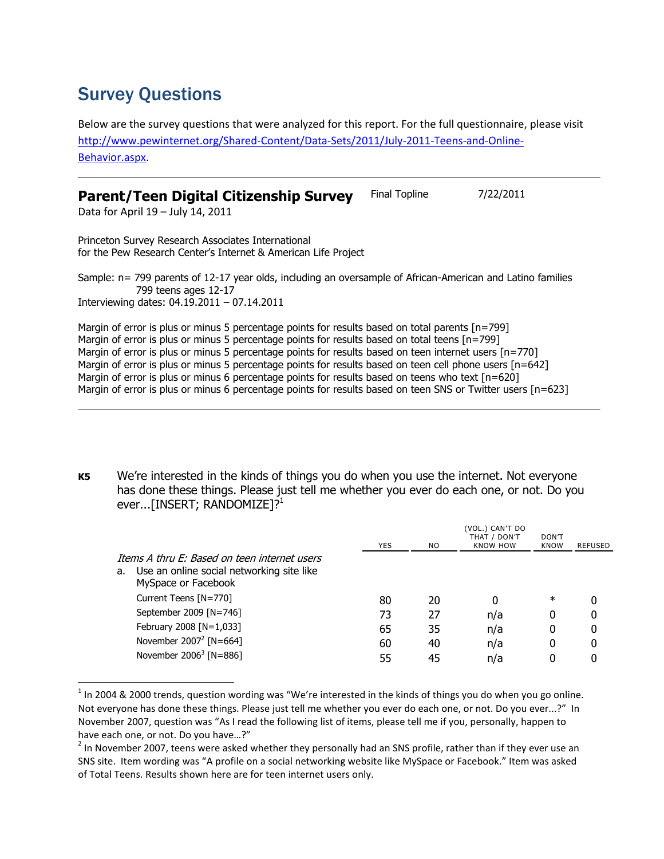## Survey Questions

Below are the survey questions that were analyzed for this report. For the full questionnaire, please visit [http://www.pewinternet.org/Shared-Content/Data-Sets/2011/July-2011-Teens-and-Online-](http://www.pewinternet.org/Shared-Content/Data-Sets/2011/July-2011-Teens-and-Online-Behavior.aspx)[Behavior.aspx.](http://www.pewinternet.org/Shared-Content/Data-Sets/2011/July-2011-Teens-and-Online-Behavior.aspx)

| Parent/Teen Digital Citizenship Survey | Final Topline | 7/22/2011 |
|----------------------------------------|---------------|-----------|
|----------------------------------------|---------------|-----------|

Data for April 19 – July 14, 2011

 $\overline{a}$ 

Princeton Survey Research Associates International for the Pew Research Center's Internet & American Life Project

Sample: n= 799 parents of 12-17 year olds, including an oversample of African-American and Latino families 799 teens ages 12-17 Interviewing dates: 04.19.2011 – 07.14.2011

Margin of error is plus or minus 5 percentage points for results based on total parents [n=799] Margin of error is plus or minus 5 percentage points for results based on total teens [n=799] Margin of error is plus or minus 5 percentage points for results based on teen internet users [n=770] Margin of error is plus or minus 5 percentage points for results based on teen cell phone users [n=642] Margin of error is plus or minus 6 percentage points for results based on teens who text [n=620] Margin of error is plus or minus 6 percentage points for results based on teen SNS or Twitter users [n=623]

**K5** We're interested in the kinds of things you do when you use the internet. Not everyone has done these things. Please just tell me whether you ever do each one, or not. Do you ever...[INSERT; RANDOMIZE]?<sup>1</sup>

|                                                                                                                        | <b>YES</b> | NO. | (VOL.) CAN'T DO<br>THAT / DON'T<br><b>KNOW HOW</b> | DON'T<br><b>KNOW</b> | REFUSED |
|------------------------------------------------------------------------------------------------------------------------|------------|-----|----------------------------------------------------|----------------------|---------|
| Thems A thru F: Based on teen internet users<br>Use an online social networking site like<br>a.<br>MySpace or Facebook |            |     |                                                    |                      |         |
| Current Teens [N=770]                                                                                                  | 80         | 20  | 0                                                  | $\ast$               | 0       |
| September 2009 [N=746]                                                                                                 | 73         | 27  | n/a                                                | 0                    | 0       |
| February 2008 [N=1,033]                                                                                                | 65         | 35  | n/a                                                | 0                    | 0       |
| November $2007^2$ [N=664]                                                                                              | 60         | 40  | n/a                                                | 0                    | 0       |
| November $2006^3$ [N=886]                                                                                              | 55         | 45  | n/a                                                | 0                    |         |

 $^1$  In 2004 & 2000 trends, question wording was "We're interested in the kinds of things you do when you go online. Not everyone has done these things. Please just tell me whether you ever do each one, or not. Do you ever...?" In November 2007, question was "As I read the following list of items, please tell me if you, personally, happen to have each one, or not. Do you have…?"

 $^2$  In November 2007, teens were asked whether they personally had an SNS profile, rather than if they ever use an SNS site. Item wording was "A profile on a social networking website like MySpace or Facebook." Item was asked of Total Teens. Results shown here are for teen internet users only.